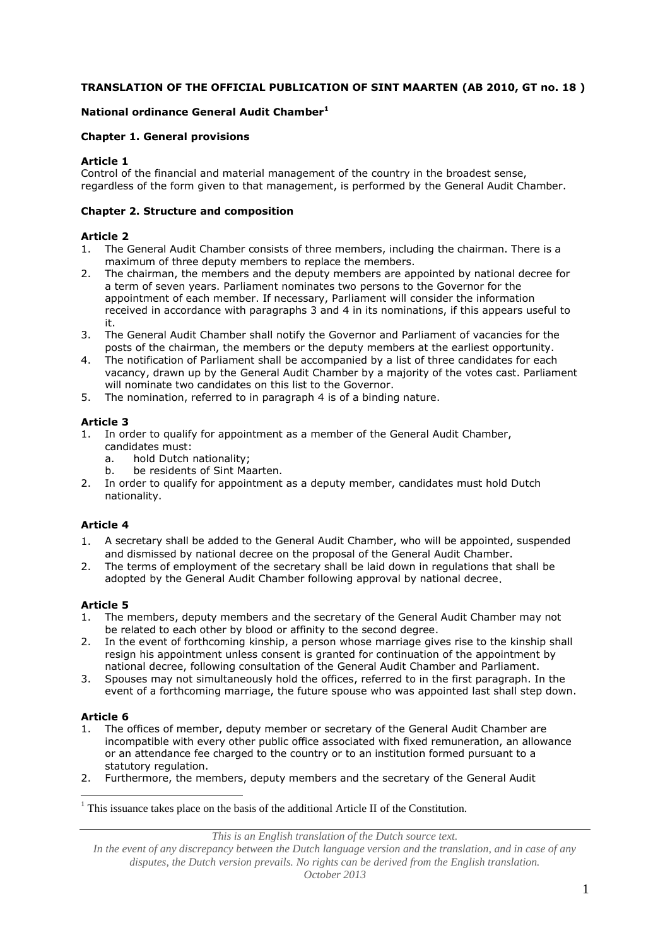## **TRANSLATION OF THE OFFICIAL PUBLICATION OF SINT MAARTEN (AB 2010, GT no. 18 )**

## **National ordinance General Audit Chamber<sup>1</sup>**

#### **Chapter 1. General provisions**

#### **Article 1**

Control of the financial and material management of the country in the broadest sense, regardless of the form given to that management, is performed by the General Audit Chamber.

#### **Chapter 2. Structure and composition**

#### **Article 2**

- 1. The General Audit Chamber consists of three members, including the chairman. There is a maximum of three deputy members to replace the members.
- 2. The chairman, the members and the deputy members are appointed by national decree for a term of seven years. Parliament nominates two persons to the Governor for the appointment of each member. If necessary, Parliament will consider the information received in accordance with paragraphs 3 and 4 in its nominations, if this appears useful to it.
- 3. The General Audit Chamber shall notify the Governor and Parliament of vacancies for the posts of the chairman, the members or the deputy members at the earliest opportunity.
- 4. The notification of Parliament shall be accompanied by a list of three candidates for each vacancy, drawn up by the General Audit Chamber by a majority of the votes cast. Parliament will nominate two candidates on this list to the Governor.
- 5. The nomination, referred to in paragraph 4 is of a binding nature.

### **Article 3**

- 1. In order to qualify for appointment as a member of the General Audit Chamber, candidates must:
	- a. hold Dutch nationality;
	- b. be residents of Sint Maarten.
- 2. In order to qualify for appointment as a deputy member, candidates must hold Dutch nationality.

### **Article 4**

- 1. A secretary shall be added to the General Audit Chamber, who will be appointed, suspended and dismissed by national decree on the proposal of the General Audit Chamber.
- 2. The terms of employment of the secretary shall be laid down in regulations that shall be adopted by the General Audit Chamber following approval by national decree.

### **Article 5**

- 1. The members, deputy members and the secretary of the General Audit Chamber may not be related to each other by blood or affinity to the second degree.
- 2. In the event of forthcoming kinship, a person whose marriage gives rise to the kinship shall resign his appointment unless consent is granted for continuation of the appointment by national decree, following consultation of the General Audit Chamber and Parliament.
- 3. Spouses may not simultaneously hold the offices, referred to in the first paragraph. In the event of a forthcoming marriage, the future spouse who was appointed last shall step down.

#### **Article 6**

<u>.</u>

- 1. The offices of member, deputy member or secretary of the General Audit Chamber are incompatible with every other public office associated with fixed remuneration, an allowance or an attendance fee charged to the country or to an institution formed pursuant to a statutory regulation.
- 2. Furthermore, the members, deputy members and the secretary of the General Audit

*This is an English translation of the Dutch source text.*

 $<sup>1</sup>$  This issuance takes place on the basis of the additional Article II of the Constitution.</sup>

*In the event of any discrepancy between the Dutch language version and the translation, and in case of any disputes, the Dutch version prevails. No rights can be derived from the English translation. October 2013*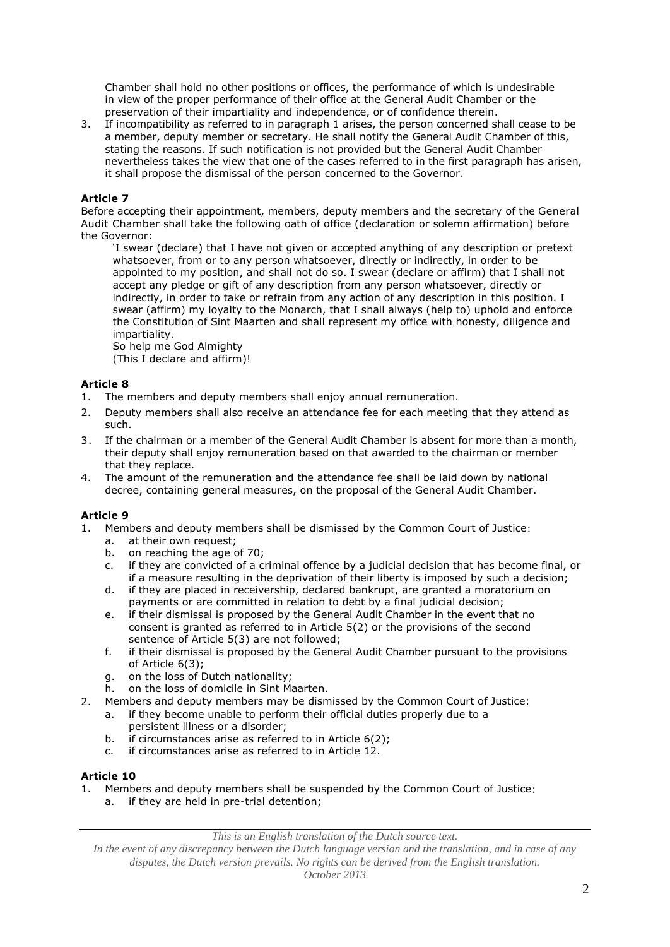Chamber shall hold no other positions or offices, the performance of which is undesirable in view of the proper performance of their office at the General Audit Chamber or the preservation of their impartiality and independence, or of confidence therein.

3. If incompatibility as referred to in paragraph 1 arises, the person concerned shall cease to be a member, deputy member or secretary. He shall notify the General Audit Chamber of this, stating the reasons. If such notification is not provided but the General Audit Chamber nevertheless takes the view that one of the cases referred to in the first paragraph has arisen, it shall propose the dismissal of the person concerned to the Governor.

### **Article 7**

Before accepting their appointment, members, deputy members and the secretary of the General Audit Chamber shall take the following oath of office (declaration or solemn affirmation) before the Governor:

'I swear (declare) that I have not given or accepted anything of any description or pretext whatsoever, from or to any person whatsoever, directly or indirectly, in order to be appointed to my position, and shall not do so. I swear (declare or affirm) that I shall not accept any pledge or gift of any description from any person whatsoever, directly or indirectly, in order to take or refrain from any action of any description in this position. I swear (affirm) my loyalty to the Monarch, that I shall always (help to) uphold and enforce the Constitution of Sint Maarten and shall represent my office with honesty, diligence and impartiality.

So help me God Almighty (This I declare and affirm)!

- 1. The members and deputy members shall enjoy annual remuneration.
- 2. Deputy members shall also receive an attendance fee for each meeting that they attend as such.
- 3. If the chairman or a member of the General Audit Chamber is absent for more than a month, their deputy shall enjoy remuneration based on that awarded to the chairman or member that they replace.
- 4. The amount of the remuneration and the attendance fee shall be laid down by national decree, containing general measures, on the proposal of the General Audit Chamber.

#### **Article 9**

**Article 8**

- 1. Members and deputy members shall be dismissed by the Common Court of Justice:
	- a. at their own request;
	- b. on reaching the age of 70;
	- c. if they are convicted of a criminal offence by a judicial decision that has become final, or if a measure resulting in the deprivation of their liberty is imposed by such a decision;
	- d. if they are placed in receivership, declared bankrupt, are granted a moratorium on payments or are committed in relation to debt by a final judicial decision;
	- e. if their dismissal is proposed by the General Audit Chamber in the event that no consent is granted as referred to in Article 5(2) or the provisions of the second sentence of Article 5(3) are not followed;
	- f. if their dismissal is proposed by the General Audit Chamber pursuant to the provisions of Article 6(3);
	- g. on the loss of Dutch nationality;
	- h. on the loss of domicile in Sint Maarten.
- 2. Members and deputy members may be dismissed by the Common Court of Justice:
	- a. if they become unable to perform their official duties properly due to a persistent illness or a disorder;
	- b. if circumstances arise as referred to in Article 6(2);
	- c. if circumstances arise as referred to in Article 12.

#### **Article 10**

1. Members and deputy members shall be suspended by the Common Court of Justice: a. if they are held in pre-trial detention;

*This is an English translation of the Dutch source text.*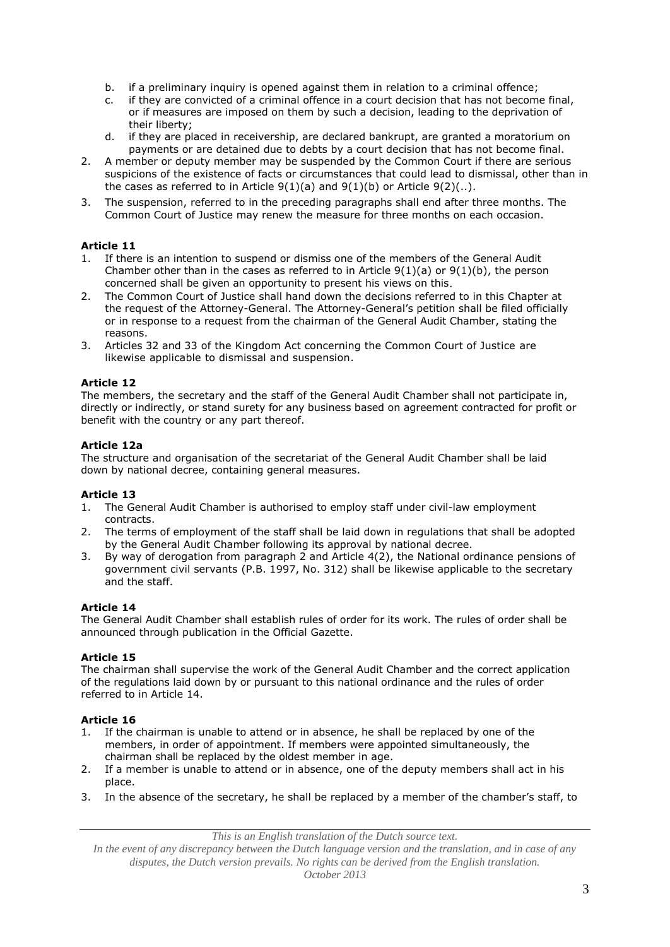- b. if a preliminary inquiry is opened against them in relation to a criminal offence;
- c. if they are convicted of a criminal offence in a court decision that has not become final, or if measures are imposed on them by such a decision, leading to the deprivation of their liberty;
- d. if they are placed in receivership, are declared bankrupt, are granted a moratorium on payments or are detained due to debts by a court decision that has not become final.
- 2. A member or deputy member may be suspended by the Common Court if there are serious suspicions of the existence of facts or circumstances that could lead to dismissal, other than in the cases as referred to in Article  $9(1)(a)$  and  $9(1)(b)$  or Article  $9(2)(..)$ .
- 3. The suspension, referred to in the preceding paragraphs shall end after three months. The Common Court of Justice may renew the measure for three months on each occasion.

# **Article 11**

- 1. If there is an intention to suspend or dismiss one of the members of the General Audit Chamber other than in the cases as referred to in Article  $9(1)(a)$  or  $9(1)(b)$ , the person concerned shall be given an opportunity to present his views on this.
- 2. The Common Court of Justice shall hand down the decisions referred to in this Chapter at the request of the Attorney-General. The Attorney-General's petition shall be filed officially or in response to a request from the chairman of the General Audit Chamber, stating the reasons.
- 3. Articles 32 and 33 of the Kingdom Act concerning the Common Court of Justice are likewise applicable to dismissal and suspension.

# **Article 12**

The members, the secretary and the staff of the General Audit Chamber shall not participate in, directly or indirectly, or stand surety for any business based on agreement contracted for profit or benefit with the country or any part thereof.

# **Article 12a**

The structure and organisation of the secretariat of the General Audit Chamber shall be laid down by national decree, containing general measures.

### **Article 13**

- 1. The General Audit Chamber is authorised to employ staff under civil-law employment contracts.
- 2. The terms of employment of the staff shall be laid down in regulations that shall be adopted by the General Audit Chamber following its approval by national decree.
- 3. By way of derogation from paragraph 2 and Article 4(2), the National ordinance pensions of government civil servants (P.B. 1997, No. 312) shall be likewise applicable to the secretary and the staff.

### **Article 14**

The General Audit Chamber shall establish rules of order for its work. The rules of order shall be announced through publication in the Official Gazette.

### **Article 15**

The chairman shall supervise the work of the General Audit Chamber and the correct application of the regulations laid down by or pursuant to this national ordinance and the rules of order referred to in Article 14.

### **Article 16**

- 1. If the chairman is unable to attend or in absence, he shall be replaced by one of the members, in order of appointment. If members were appointed simultaneously, the chairman shall be replaced by the oldest member in age.
- 2. If a member is unable to attend or in absence, one of the deputy members shall act in his place.
- 3. In the absence of the secretary, he shall be replaced by a member of the chamber's staff, to

*This is an English translation of the Dutch source text.*

*In the event of any discrepancy between the Dutch language version and the translation, and in case of any disputes, the Dutch version prevails. No rights can be derived from the English translation.*

*October 2013*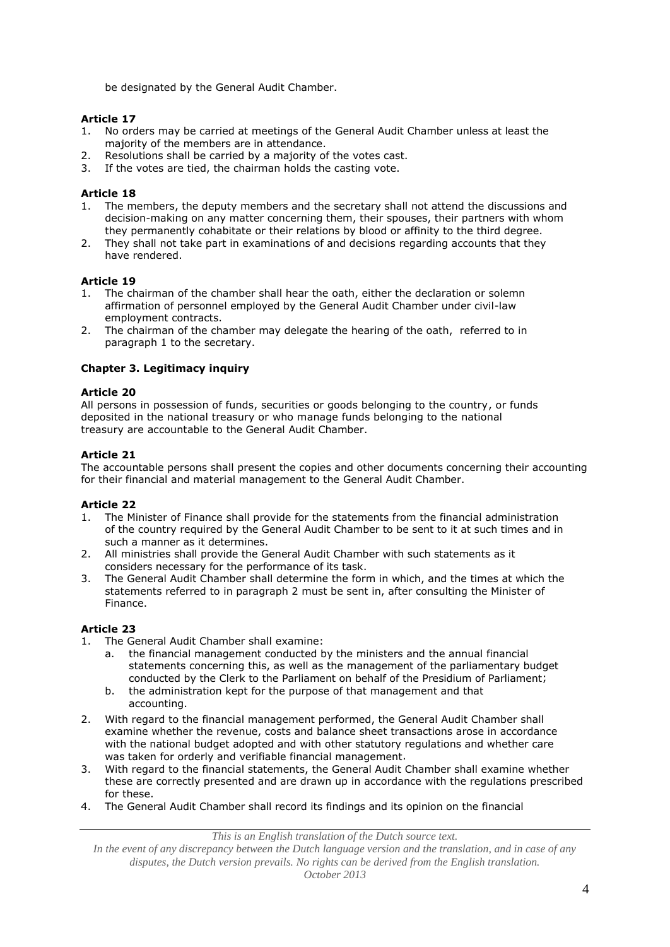be designated by the General Audit Chamber.

### **Article 17**

- 1. No orders may be carried at meetings of the General Audit Chamber unless at least the majority of the members are in attendance.
- 2. Resolutions shall be carried by a majority of the votes cast.
- 3. If the votes are tied, the chairman holds the casting vote.

#### **Article 18**

- 1. The members, the deputy members and the secretary shall not attend the discussions and decision-making on any matter concerning them, their spouses, their partners with whom they permanently cohabitate or their relations by blood or affinity to the third degree.
- 2. They shall not take part in examinations of and decisions regarding accounts that they have rendered.

#### **Article 19**

- 1. The chairman of the chamber shall hear the oath, either the declaration or solemn affirmation of personnel employed by the General Audit Chamber under civil-law employment contracts.
- 2. The chairman of the chamber may delegate the hearing of the oath, referred to in paragraph 1 to the secretary.

#### **Chapter 3. Legitimacy inquiry**

#### **Article 20**

All persons in possession of funds, securities or goods belonging to the country, or funds deposited in the national treasury or who manage funds belonging to the national treasury are accountable to the General Audit Chamber.

#### **Article 21**

The accountable persons shall present the copies and other documents concerning their accounting for their financial and material management to the General Audit Chamber.

### **Article 22**

- 1. The Minister of Finance shall provide for the statements from the financial administration of the country required by the General Audit Chamber to be sent to it at such times and in such a manner as it determines.
- 2. All ministries shall provide the General Audit Chamber with such statements as it considers necessary for the performance of its task.
- 3. The General Audit Chamber shall determine the form in which, and the times at which the statements referred to in paragraph 2 must be sent in, after consulting the Minister of Finance.

### **Article 23**

- 1. The General Audit Chamber shall examine:
	- a. the financial management conducted by the ministers and the annual financial statements concerning this, as well as the management of the parliamentary budget conducted by the Clerk to the Parliament on behalf of the Presidium of Parliament;
	- b. the administration kept for the purpose of that management and that accounting.
- 2. With regard to the financial management performed, the General Audit Chamber shall examine whether the revenue, costs and balance sheet transactions arose in accordance with the national budget adopted and with other statutory regulations and whether care was taken for orderly and verifiable financial management.
- 3. With regard to the financial statements, the General Audit Chamber shall examine whether these are correctly presented and are drawn up in accordance with the regulations prescribed for these.
- 4. The General Audit Chamber shall record its findings and its opinion on the financial

*This is an English translation of the Dutch source text.*

*In the event of any discrepancy between the Dutch language version and the translation, and in case of any disputes, the Dutch version prevails. No rights can be derived from the English translation.*

*October 2013*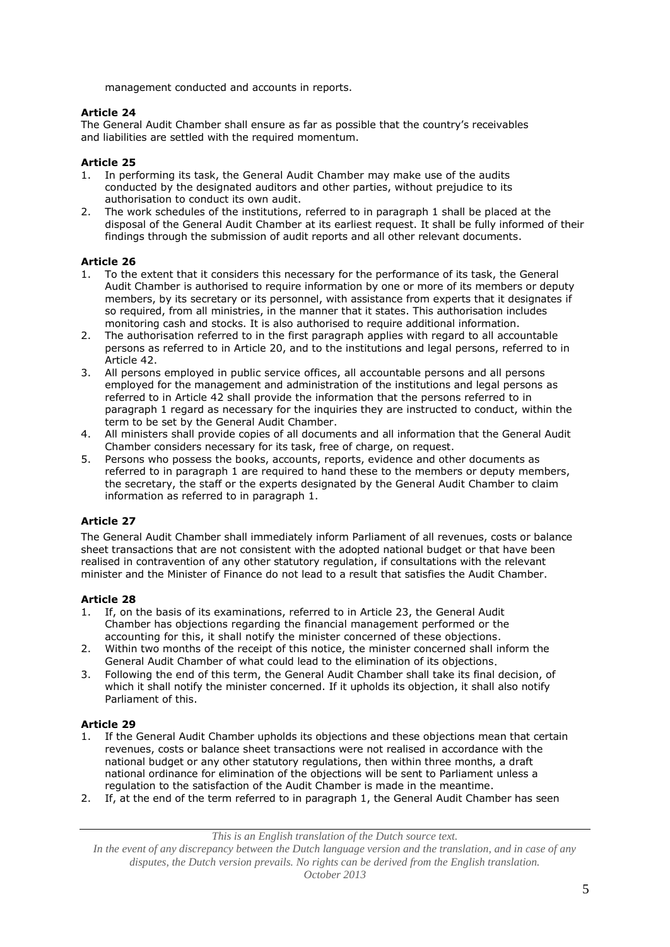management conducted and accounts in reports.

# **Article 24**

The General Audit Chamber shall ensure as far as possible that the country's receivables and liabilities are settled with the required momentum.

# **Article 25**

- 1. In performing its task, the General Audit Chamber may make use of the audits conducted by the designated auditors and other parties, without prejudice to its authorisation to conduct its own audit.
- 2. The work schedules of the institutions, referred to in paragraph 1 shall be placed at the disposal of the General Audit Chamber at its earliest request. It shall be fully informed of their findings through the submission of audit reports and all other relevant documents.

# **Article 26**

- 1. To the extent that it considers this necessary for the performance of its task, the General Audit Chamber is authorised to require information by one or more of its members or deputy members, by its secretary or its personnel, with assistance from experts that it designates if so required, from all ministries, in the manner that it states. This authorisation includes monitoring cash and stocks. It is also authorised to require additional information.
- 2. The authorisation referred to in the first paragraph applies with regard to all accountable persons as referred to in Article 20, and to the institutions and legal persons, referred to in Article 42.
- 3. All persons employed in public service offices, all accountable persons and all persons employed for the management and administration of the institutions and legal persons as referred to in Article 42 shall provide the information that the persons referred to in paragraph 1 regard as necessary for the inquiries they are instructed to conduct, within the term to be set by the General Audit Chamber.
- 4. All ministers shall provide copies of all documents and all information that the General Audit Chamber considers necessary for its task, free of charge, on request.
- 5. Persons who possess the books, accounts, reports, evidence and other documents as referred to in paragraph 1 are required to hand these to the members or deputy members, the secretary, the staff or the experts designated by the General Audit Chamber to claim information as referred to in paragraph 1.

# **Article 27**

The General Audit Chamber shall immediately inform Parliament of all revenues, costs or balance sheet transactions that are not consistent with the adopted national budget or that have been realised in contravention of any other statutory regulation, if consultations with the relevant minister and the Minister of Finance do not lead to a result that satisfies the Audit Chamber.

### **Article 28**

- 1. If, on the basis of its examinations, referred to in Article 23, the General Audit Chamber has objections regarding the financial management performed or the accounting for this, it shall notify the minister concerned of these objections.
- 2. Within two months of the receipt of this notice, the minister concerned shall inform the General Audit Chamber of what could lead to the elimination of its objections.
- 3. Following the end of this term, the General Audit Chamber shall take its final decision, of which it shall notify the minister concerned. If it upholds its objection, it shall also notify Parliament of this.

### **Article 29**

- 1. If the General Audit Chamber upholds its objections and these objections mean that certain revenues, costs or balance sheet transactions were not realised in accordance with the national budget or any other statutory regulations, then within three months, a draft national ordinance for elimination of the objections will be sent to Parliament unless a regulation to the satisfaction of the Audit Chamber is made in the meantime.
- 2. If, at the end of the term referred to in paragraph 1, the General Audit Chamber has seen

*This is an English translation of the Dutch source text.*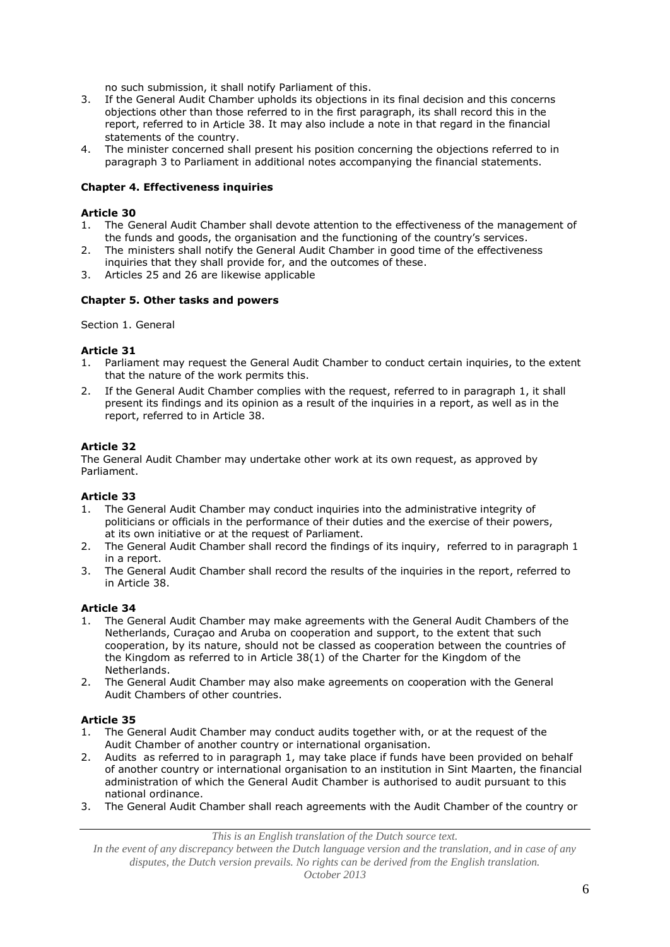no such submission, it shall notify Parliament of this.

- 3. If the General Audit Chamber upholds its objections in its final decision and this concerns objections other than those referred to in the first paragraph, its shall record this in the report, referred to in Article 38. It may also include a note in that regard in the financial statements of the country.
- 4. The minister concerned shall present his position concerning the objections referred to in paragraph 3 to Parliament in additional notes accompanying the financial statements.

### **Chapter 4. Effectiveness inquiries**

#### **Article 30**

- 1. The General Audit Chamber shall devote attention to the effectiveness of the management of the funds and goods, the organisation and the functioning of the country's services.
- 2. The ministers shall notify the General Audit Chamber in good time of the effectiveness inquiries that they shall provide for, and the outcomes of these.
- 3. Articles 25 and 26 are likewise applicable

### **Chapter 5. Other tasks and powers**

#### Section 1. General

#### **Article 31**

- 1. Parliament may request the General Audit Chamber to conduct certain inquiries, to the extent that the nature of the work permits this.
- 2. If the General Audit Chamber complies with the request, referred to in paragraph 1, it shall present its findings and its opinion as a result of the inquiries in a report, as well as in the report, referred to in Article 38.

### **Article 32**

The General Audit Chamber may undertake other work at its own request, as approved by Parliament.

#### **Article 33**

- 1. The General Audit Chamber may conduct inquiries into the administrative integrity of politicians or officials in the performance of their duties and the exercise of their powers, at its own initiative or at the request of Parliament.
- 2. The General Audit Chamber shall record the findings of its inquiry, referred to in paragraph 1 in a report.
- 3. The General Audit Chamber shall record the results of the inquiries in the report, referred to in Article 38.

### **Article 34**

- 1. The General Audit Chamber may make agreements with the General Audit Chambers of the Netherlands, Curaçao and Aruba on cooperation and support, to the extent that such cooperation, by its nature, should not be classed as cooperation between the countries of the Kingdom as referred to in Article 38(1) of the Charter for the Kingdom of the Netherlands.
- 2. The General Audit Chamber may also make agreements on cooperation with the General Audit Chambers of other countries.

### **Article 35**

- 1. The General Audit Chamber may conduct audits together with, or at the request of the Audit Chamber of another country or international organisation.
- 2. Audits as referred to in paragraph 1, may take place if funds have been provided on behalf of another country or international organisation to an institution in Sint Maarten, the financial administration of which the General Audit Chamber is authorised to audit pursuant to this national ordinance.
- 3. The General Audit Chamber shall reach agreements with the Audit Chamber of the country or

*This is an English translation of the Dutch source text.*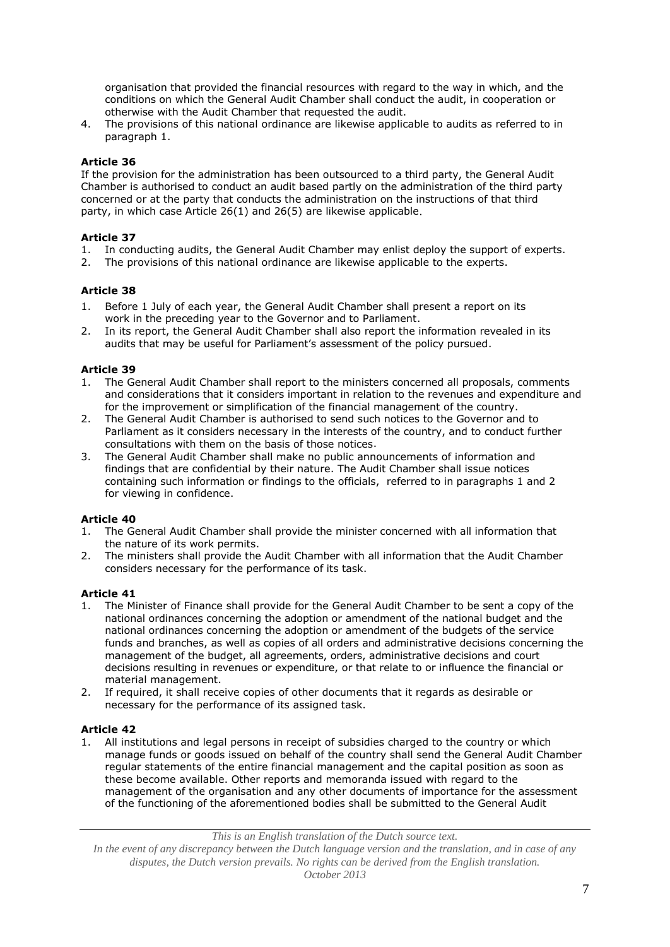organisation that provided the financial resources with regard to the way in which, and the conditions on which the General Audit Chamber shall conduct the audit, in cooperation or otherwise with the Audit Chamber that requested the audit.

4. The provisions of this national ordinance are likewise applicable to audits as referred to in paragraph 1.

### **Article 36**

If the provision for the administration has been outsourced to a third party, the General Audit Chamber is authorised to conduct an audit based partly on the administration of the third party concerned or at the party that conducts the administration on the instructions of that third party, in which case Article 26(1) and 26(5) are likewise applicable.

### **Article 37**

- 1. In conducting audits, the General Audit Chamber may enlist deploy the support of experts.
- 2. The provisions of this national ordinance are likewise applicable to the experts.

### **Article 38**

- 1. Before 1 July of each year, the General Audit Chamber shall present a report on its work in the preceding year to the Governor and to Parliament.
- 2. In its report, the General Audit Chamber shall also report the information revealed in its audits that may be useful for Parliament's assessment of the policy pursued.

### **Article 39**

- 1. The General Audit Chamber shall report to the ministers concerned all proposals, comments and considerations that it considers important in relation to the revenues and expenditure and for the improvement or simplification of the financial management of the country.
- 2. The General Audit Chamber is authorised to send such notices to the Governor and to Parliament as it considers necessary in the interests of the country, and to conduct further consultations with them on the basis of those notices.
- 3. The General Audit Chamber shall make no public announcements of information and findings that are confidential by their nature. The Audit Chamber shall issue notices containing such information or findings to the officials, referred to in paragraphs 1 and 2 for viewing in confidence.

### **Article 40**

- 1. The General Audit Chamber shall provide the minister concerned with all information that the nature of its work permits.
- 2. The ministers shall provide the Audit Chamber with all information that the Audit Chamber considers necessary for the performance of its task.

#### **Article 41**

- 1. The Minister of Finance shall provide for the General Audit Chamber to be sent a copy of the national ordinances concerning the adoption or amendment of the national budget and the national ordinances concerning the adoption or amendment of the budgets of the service funds and branches, as well as copies of all orders and administrative decisions concerning the management of the budget, all agreements, orders, administrative decisions and court decisions resulting in revenues or expenditure, or that relate to or influence the financial or material management.
- 2. If required, it shall receive copies of other documents that it regards as desirable or necessary for the performance of its assigned task.

### **Article 42**

1. All institutions and legal persons in receipt of subsidies charged to the country or which manage funds or goods issued on behalf of the country shall send the General Audit Chamber regular statements of the entire financial management and the capital position as soon as these become available. Other reports and memoranda issued with regard to the management of the organisation and any other documents of importance for the assessment of the functioning of the aforementioned bodies shall be submitted to the General Audit

*This is an English translation of the Dutch source text.*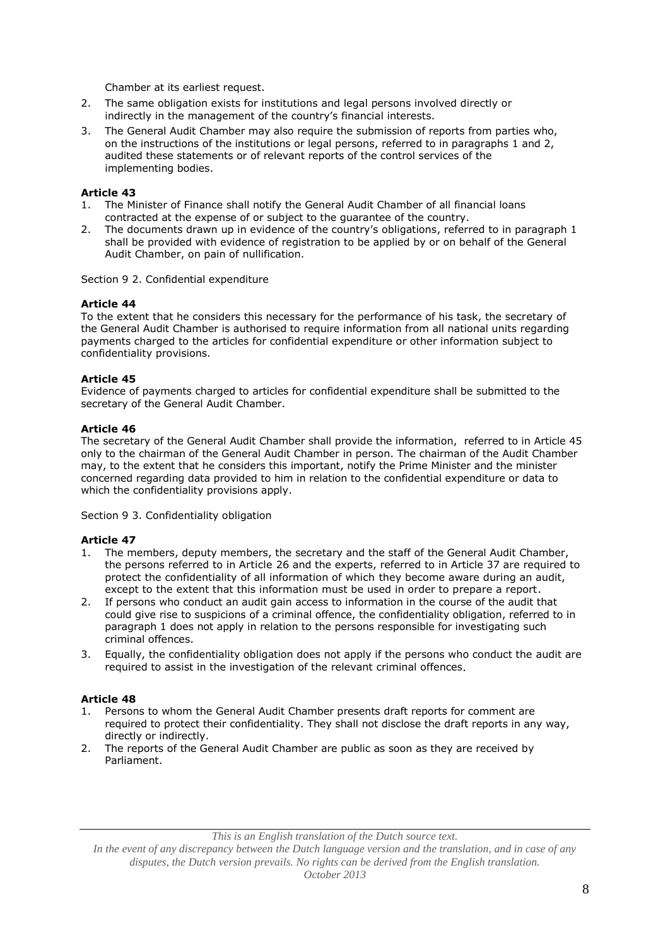Chamber at its earliest request.

- 2. The same obligation exists for institutions and legal persons involved directly or indirectly in the management of the country's financial interests.
- 3. The General Audit Chamber may also require the submission of reports from parties who, on the instructions of the institutions or legal persons, referred to in paragraphs 1 and 2, audited these statements or of relevant reports of the control services of the implementing bodies.

#### **Article 43**

- 1. The Minister of Finance shall notify the General Audit Chamber of all financial loans contracted at the expense of or subject to the guarantee of the country.
- 2. The documents drawn up in evidence of the country's obligations, referred to in paragraph 1 shall be provided with evidence of registration to be applied by or on behalf of the General Audit Chamber, on pain of nullification.

Section 9 2. Confidential expenditure

#### **Article 44**

To the extent that he considers this necessary for the performance of his task, the secretary of the General Audit Chamber is authorised to require information from all national units regarding payments charged to the articles for confidential expenditure or other information subject to confidentiality provisions.

#### **Article 45**

Evidence of payments charged to articles for confidential expenditure shall be submitted to the secretary of the General Audit Chamber.

#### **Article 46**

The secretary of the General Audit Chamber shall provide the information, referred to in Article 45 only to the chairman of the General Audit Chamber in person. The chairman of the Audit Chamber may, to the extent that he considers this important, notify the Prime Minister and the minister concerned regarding data provided to him in relation to the confidential expenditure or data to which the confidentiality provisions apply.

Section 9 3. Confidentiality obligation

#### **Article 47**

- 1. The members, deputy members, the secretary and the staff of the General Audit Chamber, the persons referred to in Article 26 and the experts, referred to in Article 37 are required to protect the confidentiality of all information of which they become aware during an audit, except to the extent that this information must be used in order to prepare a report.
- 2. If persons who conduct an audit gain access to information in the course of the audit that could give rise to suspicions of a criminal offence, the confidentiality obligation, referred to in paragraph 1 does not apply in relation to the persons responsible for investigating such criminal offences.
- 3. Equally, the confidentiality obligation does not apply if the persons who conduct the audit are required to assist in the investigation of the relevant criminal offences.

#### **Article 48**

- 1. Persons to whom the General Audit Chamber presents draft reports for comment are required to protect their confidentiality. They shall not disclose the draft reports in any way, directly or indirectly.
- 2. The reports of the General Audit Chamber are public as soon as they are received by Parliament.

*This is an English translation of the Dutch source text.*

*In the event of any discrepancy between the Dutch language version and the translation, and in case of any disputes, the Dutch version prevails. No rights can be derived from the English translation.*

*October 2013*